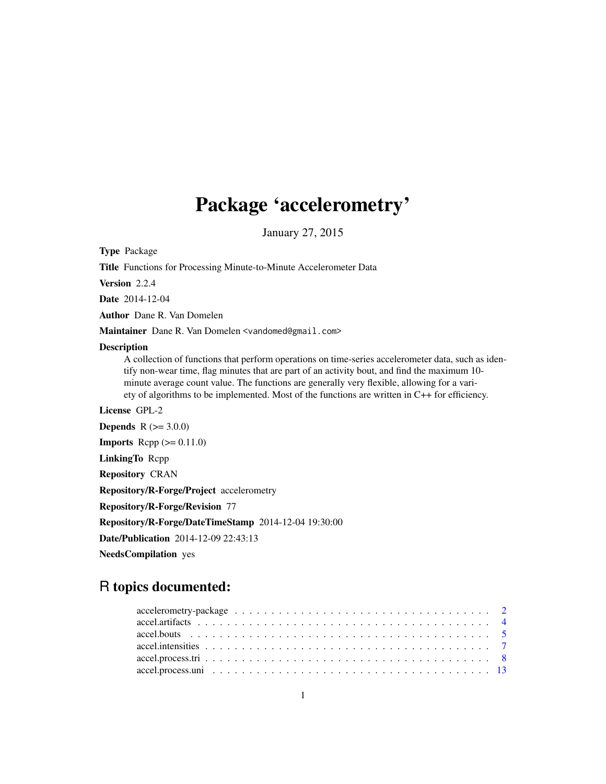# Package 'accelerometry'

January 27, 2015

<span id="page-0-0"></span>Type Package

Title Functions for Processing Minute-to-Minute Accelerometer Data

Version 2.2.4

Date 2014-12-04

Author Dane R. Van Domelen

Maintainer Dane R. Van Domelen <vandomed@gmail.com>

#### **Description**

A collection of functions that perform operations on time-series accelerometer data, such as identify non-wear time, flag minutes that are part of an activity bout, and find the maximum 10 minute average count value. The functions are generally very flexible, allowing for a variety of algorithms to be implemented. Most of the functions are written in C++ for efficiency.

License GPL-2

**Depends**  $R (= 3.0.0)$ 

**Imports** Rcpp  $(>= 0.11.0)$ 

LinkingTo Rcpp

Repository CRAN

Repository/R-Forge/Project accelerometry

Repository/R-Forge/Revision 77

Repository/R-Forge/DateTimeStamp 2014-12-04 19:30:00

Date/Publication 2014-12-09 22:43:13

NeedsCompilation yes

# R topics documented: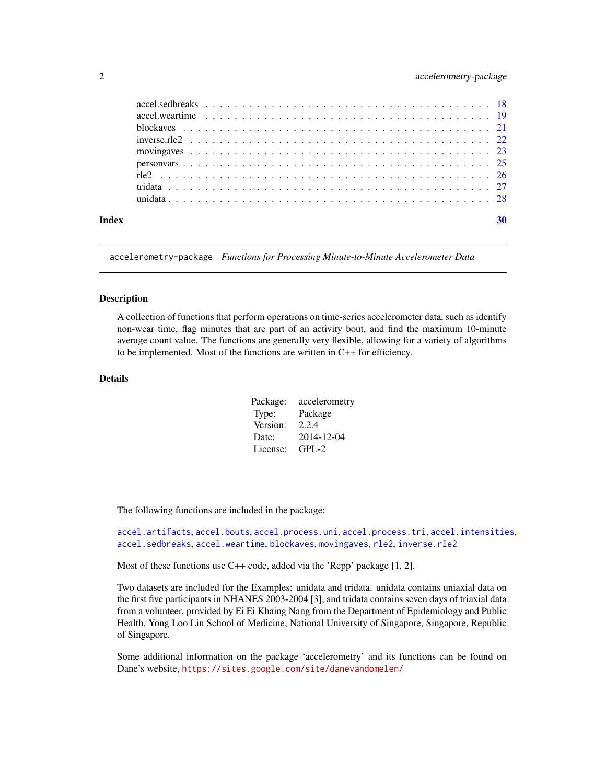<span id="page-1-0"></span>

| Index |  |
|-------|--|
|       |  |
|       |  |
|       |  |
|       |  |
|       |  |
|       |  |
|       |  |
|       |  |
|       |  |

accelerometry-package *Functions for Processing Minute-to-Minute Accelerometer Data*

#### **Description**

A collection of functions that perform operations on time-series accelerometer data, such as identify non-wear time, flag minutes that are part of an activity bout, and find the maximum 10-minute average count value. The functions are generally very flexible, allowing for a variety of algorithms to be implemented. Most of the functions are written in C++ for efficiency.

#### Details

| Package: | accelerometry |
|----------|---------------|
| Type:    | Package       |
| Version: | 2.2.4         |
| Date:    | 2014-12-04    |
| License: | GPL-2         |

The following functions are included in the package:

```
accel.artifacts, accel.bouts, accel.process.uni, accel.process.tri, accel.intensities,
accel.sedbreaks, accel.weartime, blockaves, movingaves, rle2, inverse.rle2
```
Most of these functions use C++ code, added via the 'Rcpp' package [1, 2].

Two datasets are included for the Examples: unidata and tridata. unidata contains uniaxial data on the first five participants in NHANES 2003-2004 [3], and tridata contains seven days of triaxial data from a volunteer, provided by Ei Ei Khaing Nang from the Department of Epidemiology and Public Health, Yong Loo Lin School of Medicine, National University of Singapore, Singapore, Republic of Singapore.

Some additional information on the package 'accelerometry' and its functions can be found on Dane's website, <https://sites.google.com/site/danevandomelen/>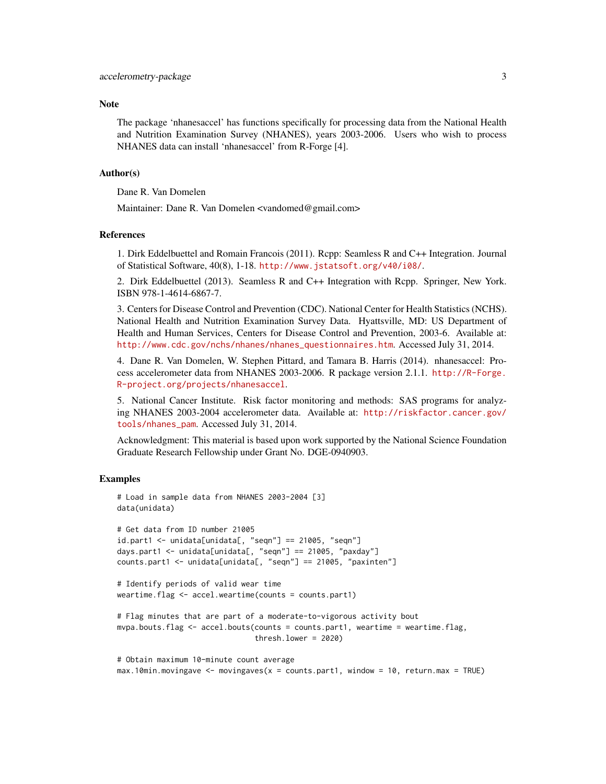#### **Note**

The package 'nhanesaccel' has functions specifically for processing data from the National Health and Nutrition Examination Survey (NHANES), years 2003-2006. Users who wish to process NHANES data can install 'nhanesaccel' from R-Forge [4].

#### Author(s)

Dane R. Van Domelen

Maintainer: Dane R. Van Domelen <vandomed@gmail.com>

#### References

1. Dirk Eddelbuettel and Romain Francois (2011). Rcpp: Seamless R and C++ Integration. Journal of Statistical Software, 40(8), 1-18. <http://www.jstatsoft.org/v40/i08/>.

2. Dirk Eddelbuettel (2013). Seamless R and C++ Integration with Rcpp. Springer, New York. ISBN 978-1-4614-6867-7.

3. Centers for Disease Control and Prevention (CDC). National Center for Health Statistics (NCHS). National Health and Nutrition Examination Survey Data. Hyattsville, MD: US Department of Health and Human Services, Centers for Disease Control and Prevention, 2003-6. Available at: [http://www.cdc.gov/nchs/nhanes/nhanes\\_questionnaires.htm](http://www.cdc.gov/nchs/nhanes/nhanes_questionnaires.htm). Accessed July 31, 2014.

4. Dane R. Van Domelen, W. Stephen Pittard, and Tamara B. Harris (2014). nhanesaccel: Process accelerometer data from NHANES 2003-2006. R package version 2.1.1. [http://R-Forge.](http://R-Forge.R-project.org/projects/nhanesaccel) [R-project.org/projects/nhanesaccel](http://R-Forge.R-project.org/projects/nhanesaccel).

5. National Cancer Institute. Risk factor monitoring and methods: SAS programs for analyzing NHANES 2003-2004 accelerometer data. Available at: [http://riskfactor.cancer.gov/](http://riskfactor.cancer.gov/tools/nhanes_pam) [tools/nhanes\\_pam](http://riskfactor.cancer.gov/tools/nhanes_pam). Accessed July 31, 2014.

Acknowledgment: This material is based upon work supported by the National Science Foundation Graduate Research Fellowship under Grant No. DGE-0940903.

#### Examples

```
# Load in sample data from NHANES 2003-2004 [3]
data(unidata)
# Get data from ID number 21005
id.part1 <- unidata[unidata[, "seqn"] == 21005, "seqn"]
days.part1 <- unidata[unidata[, "seqn"] == 21005, "paxday"]
counts.part1 <- unidata[unidata[, "seqn"] == 21005, "paxinten"]
# Identify periods of valid wear time
weartime.flag <- accel.weartime(counts = counts.part1)
# Flag minutes that are part of a moderate-to-vigorous activity bout
mvpa.bouts.flag \leq accel.bouts(counts = counts.part1, weartime = weartime.flag,
                               thresh.lower = 2020
```
# Obtain maximum 10-minute count average max.10min.movingave <- movingaves(x = counts.part1, window = 10, return.max = TRUE)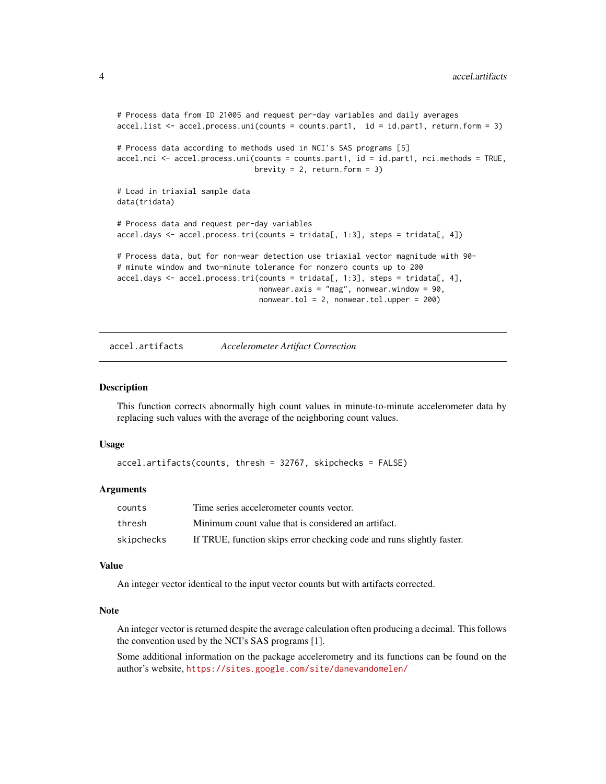```
# Process data from ID 21005 and request per-day variables and daily averages
accel.list <- accel.process.uni(counts = counts.part1, id = id.part1, return.form = 3)
# Process data according to methods used in NCI's SAS programs [5]
accel.nci <- accel.process.uni(counts = counts.part1, id = id.part1, nci.methods = TRUE,
                               brevity = 2, return.form = 3)
# Load in triaxial sample data
data(tridata)
# Process data and request per-day variables
accel.days <- accel.process.tri(counts = tridata[, 1:3], steps = tridata[, 4])
# Process data, but for non-wear detection use triaxial vector magnitude with 90-
# minute window and two-minute tolerance for nonzero counts up to 200
accel.days < -</math> <math>accel.process.tri(counts = tridata[, 1:3], steps = tridata[, 4],</math>nonwear.axis = "mag", nonwear.window = 90,
                                nonwear.tol = 2, nonwear.tol.upper = 200)
```
<span id="page-3-1"></span>accel.artifacts *Accelerometer Artifact Correction*

#### Description

This function corrects abnormally high count values in minute-to-minute accelerometer data by replacing such values with the average of the neighboring count values.

#### Usage

```
accel.artifacts(counts, thresh = 32767, skipchecks = FALSE)
```
# Arguments

| counts     | Time series accelerometer counts vector.                              |
|------------|-----------------------------------------------------------------------|
| thresh     | Minimum count value that is considered an artifact.                   |
| skipchecks | If TRUE, function skips error checking code and runs slightly faster. |

# Value

An integer vector identical to the input vector counts but with artifacts corrected.

#### Note

An integer vector is returned despite the average calculation often producing a decimal. This follows the convention used by the NCI's SAS programs [1].

Some additional information on the package accelerometry and its functions can be found on the author's website, <https://sites.google.com/site/danevandomelen/>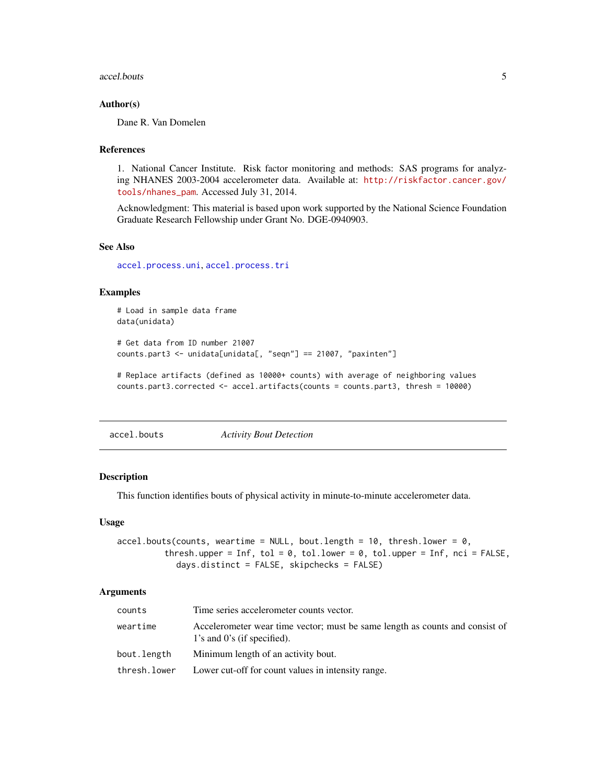<span id="page-4-0"></span>accel.bouts 5

#### Author(s)

Dane R. Van Domelen

#### References

1. National Cancer Institute. Risk factor monitoring and methods: SAS programs for analyzing NHANES 2003-2004 accelerometer data. Available at: [http://riskfactor.cancer.gov/](http://riskfactor.cancer.gov/tools/nhanes_pam) [tools/nhanes\\_pam](http://riskfactor.cancer.gov/tools/nhanes_pam). Accessed July 31, 2014.

Acknowledgment: This material is based upon work supported by the National Science Foundation Graduate Research Fellowship under Grant No. DGE-0940903.

#### See Also

[accel.process.uni](#page-12-1), [accel.process.tri](#page-7-1)

#### Examples

```
# Load in sample data frame
data(unidata)
# Get data from ID number 21007
counts.part3 <- unidata[unidata[, "seqn"] == 21007, "paxinten"]
# Replace artifacts (defined as 10000+ counts) with average of neighboring values
```

```
counts.part3.corrected <- accel.artifacts(counts = counts.part3, thresh = 10000)
```
<span id="page-4-1"></span>accel.bouts *Activity Bout Detection*

#### Description

This function identifies bouts of physical activity in minute-to-minute accelerometer data.

#### Usage

```
accel.bouts(counts, weartime = NULL, bout.length = 10, thresh.lower = 0,
         thresh.upper = Inf, tol = 0, tol.lower = 0, tol.upper = Inf, nci = FALSE,
            days.distinct = FALSE, skipchecks = FALSE)
```
#### **Arguments**

| counts       | Time series accelerometer counts vector.                                                                          |
|--------------|-------------------------------------------------------------------------------------------------------------------|
| weartime     | Accelerometer wear time vector; must be same length as counts and consist of<br>$1$ 's and $0$ 's (if specified). |
| bout.length  | Minimum length of an activity bout.                                                                               |
| thresh.lower | Lower cut-off for count values in intensity range.                                                                |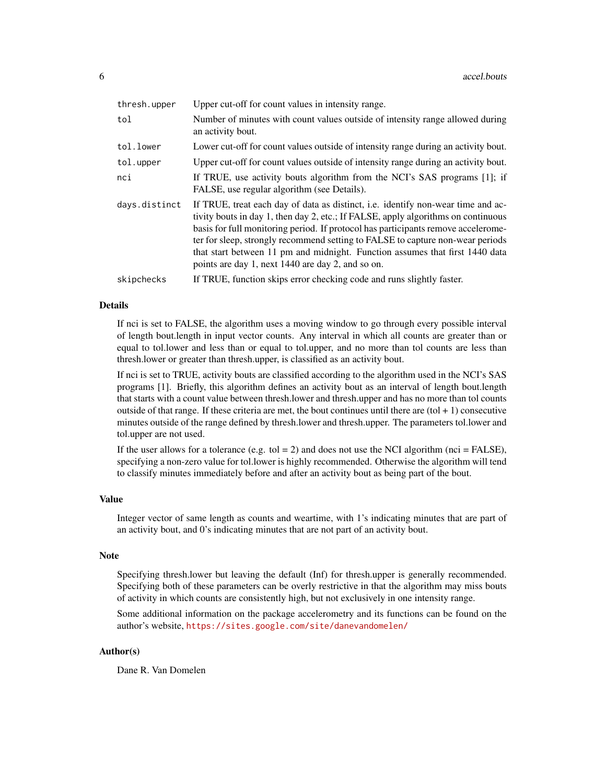| thresh.upper  | Upper cut-off for count values in intensity range.                                                                                                                                                                                                                                                                                                                                                                                                                                |
|---------------|-----------------------------------------------------------------------------------------------------------------------------------------------------------------------------------------------------------------------------------------------------------------------------------------------------------------------------------------------------------------------------------------------------------------------------------------------------------------------------------|
| tol           | Number of minutes with count values outside of intensity range allowed during<br>an activity bout.                                                                                                                                                                                                                                                                                                                                                                                |
| tol.lower     | Lower cut-off for count values outside of intensity range during an activity bout.                                                                                                                                                                                                                                                                                                                                                                                                |
| tol.upper     | Upper cut-off for count values outside of intensity range during an activity bout.                                                                                                                                                                                                                                                                                                                                                                                                |
| nci           | If TRUE, use activity bouts algorithm from the NCI's SAS programs [1]; if<br>FALSE, use regular algorithm (see Details).                                                                                                                                                                                                                                                                                                                                                          |
| days.distinct | If TRUE, treat each day of data as distinct, i.e. identify non-wear time and ac-<br>tivity bouts in day 1, then day 2, etc.; If FALSE, apply algorithms on continuous<br>basis for full monitoring period. If protocol has participants remove accelerome-<br>ter for sleep, strongly recommend setting to FALSE to capture non-wear periods<br>that start between 11 pm and midnight. Function assumes that first 1440 data<br>points are day 1, next 1440 are day 2, and so on. |
| skipchecks    | If TRUE, function skips error checking code and runs slightly faster.                                                                                                                                                                                                                                                                                                                                                                                                             |

#### Details

If nci is set to FALSE, the algorithm uses a moving window to go through every possible interval of length bout.length in input vector counts. Any interval in which all counts are greater than or equal to tol.lower and less than or equal to tol.upper, and no more than tol counts are less than thresh.lower or greater than thresh.upper, is classified as an activity bout.

If nci is set to TRUE, activity bouts are classified according to the algorithm used in the NCI's SAS programs [1]. Briefly, this algorithm defines an activity bout as an interval of length bout.length that starts with a count value between thresh.lower and thresh.upper and has no more than tol counts outside of that range. If these criteria are met, the bout continues until there are  $(tol + 1)$  consecutive minutes outside of the range defined by thresh.lower and thresh.upper. The parameters tol.lower and tol.upper are not used.

If the user allows for a tolerance (e.g. tol  $= 2$ ) and does not use the NCI algorithm (nci  $=$  FALSE), specifying a non-zero value for tol.lower is highly recommended. Otherwise the algorithm will tend to classify minutes immediately before and after an activity bout as being part of the bout.

#### Value

Integer vector of same length as counts and weartime, with 1's indicating minutes that are part of an activity bout, and 0's indicating minutes that are not part of an activity bout.

#### Note

Specifying thresh.lower but leaving the default (Inf) for thresh.upper is generally recommended. Specifying both of these parameters can be overly restrictive in that the algorithm may miss bouts of activity in which counts are consistently high, but not exclusively in one intensity range.

Some additional information on the package accelerometry and its functions can be found on the author's website, <https://sites.google.com/site/danevandomelen/>

# Author(s)

Dane R. Van Domelen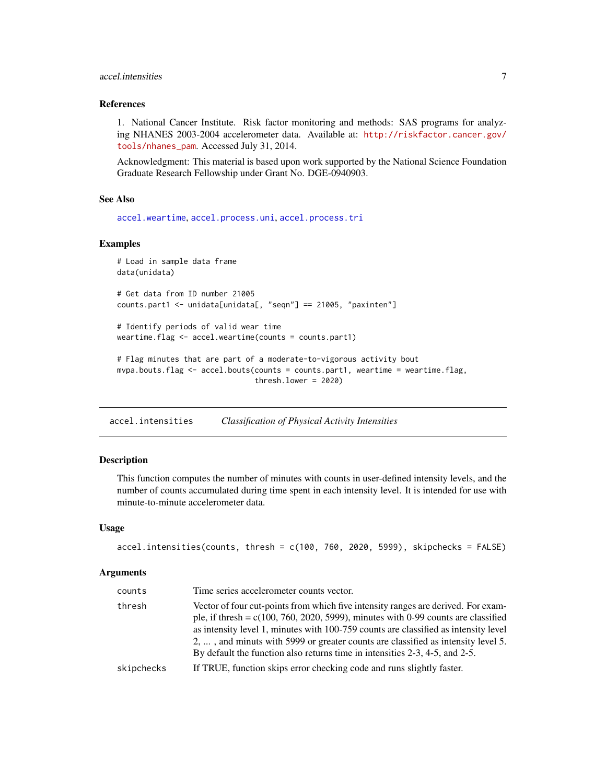# <span id="page-6-0"></span>accel.intensities 7

# References

1. National Cancer Institute. Risk factor monitoring and methods: SAS programs for analyzing NHANES 2003-2004 accelerometer data. Available at: [http://riskfactor.cancer.gov/](http://riskfactor.cancer.gov/tools/nhanes_pam) [tools/nhanes\\_pam](http://riskfactor.cancer.gov/tools/nhanes_pam). Accessed July 31, 2014.

Acknowledgment: This material is based upon work supported by the National Science Foundation Graduate Research Fellowship under Grant No. DGE-0940903.

#### See Also

[accel.weartime](#page-18-1), [accel.process.uni](#page-12-1), [accel.process.tri](#page-7-1)

# Examples

```
# Load in sample data frame
data(unidata)
# Get data from ID number 21005
counts.part1 <- unidata[unidata[, "seqn"] == 21005, "paxinten"]
# Identify periods of valid wear time
weartime.flag <- accel.weartime(counts = counts.part1)
# Flag minutes that are part of a moderate-to-vigorous activity bout
mvpa.bouts.flag <- accel.bouts(counts = counts.part1, weartime = weartime.flag,
                               thresh.lower = 2020)
```
<span id="page-6-1"></span>accel.intensities *Classification of Physical Activity Intensities*

#### Description

This function computes the number of minutes with counts in user-defined intensity levels, and the number of counts accumulated during time spent in each intensity level. It is intended for use with minute-to-minute accelerometer data.

#### Usage

```
accel.intensities(counts, thresh = c(100, 760, 2020, 5999), skipchecks = FALSE)
```
### Arguments

| counts     | Time series accelerometer counts vector.                                                                                                                                                                                                                                                                                                                                                                                            |
|------------|-------------------------------------------------------------------------------------------------------------------------------------------------------------------------------------------------------------------------------------------------------------------------------------------------------------------------------------------------------------------------------------------------------------------------------------|
| thresh     | Vector of four cut-points from which five intensity ranges are derived. For exam-<br>ple, if thresh = $c(100, 760, 2020, 5999)$ , minutes with 0-99 counts are classified<br>as intensity level 1, minutes with 100-759 counts are classified as intensity level<br>2, , and minuts with 5999 or greater counts are classified as intensity level 5.<br>By default the function also returns time in intensities 2-3, 4-5, and 2-5. |
| skipchecks | If TRUE, function skips error checking code and runs slightly faster.                                                                                                                                                                                                                                                                                                                                                               |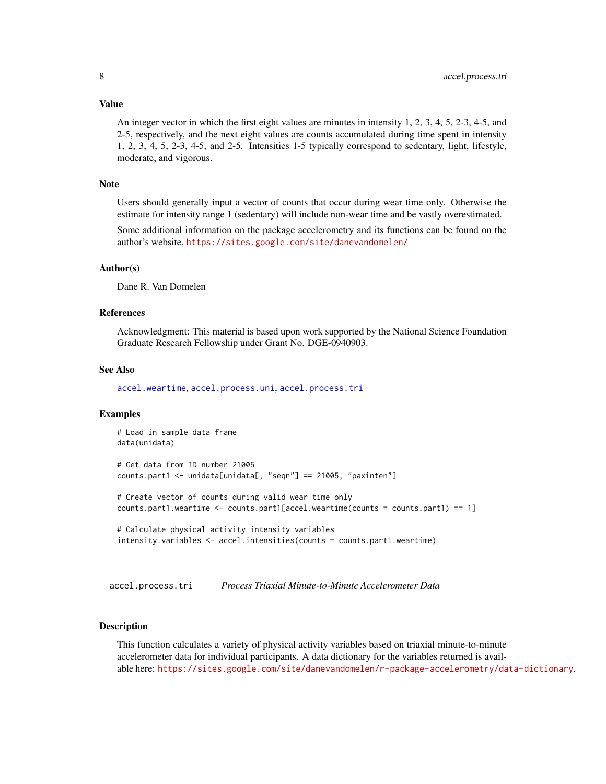#### <span id="page-7-0"></span>Value

An integer vector in which the first eight values are minutes in intensity 1, 2, 3, 4, 5, 2-3, 4-5, and 2-5, respectively, and the next eight values are counts accumulated during time spent in intensity 1, 2, 3, 4, 5, 2-3, 4-5, and 2-5. Intensities 1-5 typically correspond to sedentary, light, lifestyle, moderate, and vigorous.

#### Note

Users should generally input a vector of counts that occur during wear time only. Otherwise the estimate for intensity range 1 (sedentary) will include non-wear time and be vastly overestimated.

Some additional information on the package accelerometry and its functions can be found on the author's website, <https://sites.google.com/site/danevandomelen/>

#### Author(s)

Dane R. Van Domelen

#### References

Acknowledgment: This material is based upon work supported by the National Science Foundation Graduate Research Fellowship under Grant No. DGE-0940903.

# See Also

[accel.weartime](#page-18-1), [accel.process.uni](#page-12-1), [accel.process.tri](#page-7-1)

### Examples

```
# Load in sample data frame
data(unidata)
# Get data from ID number 21005
counts.part1 <- unidata[unidata[, "seqn"] == 21005, "paxinten"]
# Create vector of counts during valid wear time only
counts.part1.weartime <- counts.part1[accel.weartime(counts = counts.part1) == 1]
# Calculate physical activity intensity variables
intensity.variables <- accel.intensities(counts = counts.part1.weartime)
```
<span id="page-7-1"></span>accel.process.tri *Process Triaxial Minute-to-Minute Accelerometer Data*

# **Description**

This function calculates a variety of physical activity variables based on triaxial minute-to-minute accelerometer data for individual participants. A data dictionary for the variables returned is available here: <https://sites.google.com/site/danevandomelen/r-package-accelerometry/data-dictionary>.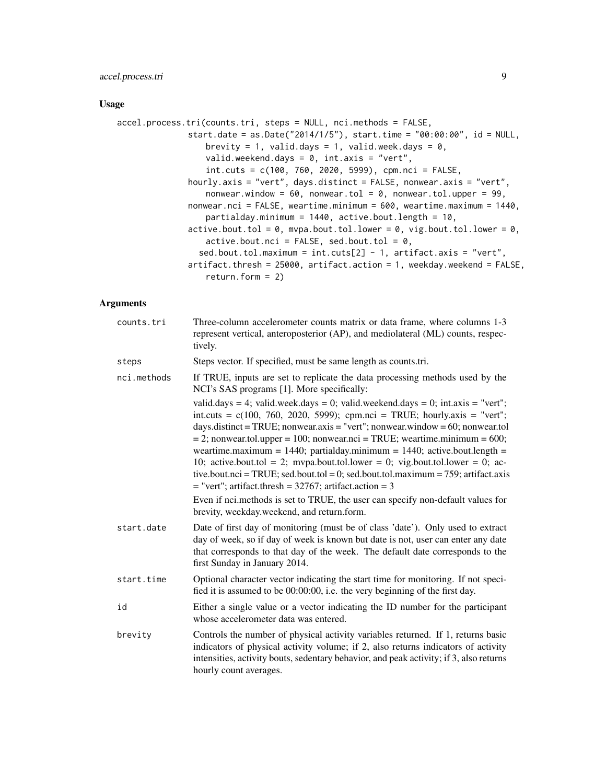# accel.process.tri 9

#### Usage

```
accel.process.tri(counts.tri, steps = NULL, nci.methods = FALSE,
              start.date = as.Date("2014/1/5"), start.time = "00:00:00", id = NULL,
                  brevity = 1, valid.days = 1, valid.week.days = 0,
                  valid.weekend.days = 0, int.axis = "vert",
                  int.cuts = c(100, 760, 2020, 5999), cpm.nci = FALSE,
              hourly.axis = "vert", days.distinct = FALSE, nonwear.axis = "vert",
                  nonwear.window = 60, nonwear.tol = 0, nonwear.tol.upper = 99,
              nonwear.nci = FALSE, weartime.minimum = 600, weartime.maximum = 1440,
                  partialday.minimum = 1440, active.bout.length = 10,
              active.bout.tol = 0, mvpa.bout.tol.lower = 0, vig.bout.tol.lower = 0,
                  active.bout.nci = FALSE, sed.bout.tol = 0,sed.bout.tol.maximum = int.cuts[2] - 1, artifact.axis = "vert",
              artifact.thresh = 25000, artifact.action = 1, weekday.weekend = FALSE,
                  return.format = 2)
```
#### Arguments

| counts.tri  | Three-column accelerometer counts matrix or data frame, where columns 1-3<br>represent vertical, anteroposterior (AP), and mediolateral (ML) counts, respec-<br>tively.                                                                                                                                                                                                                                                                                                                                                                                                                                                                                                                                                                                                                   |
|-------------|-------------------------------------------------------------------------------------------------------------------------------------------------------------------------------------------------------------------------------------------------------------------------------------------------------------------------------------------------------------------------------------------------------------------------------------------------------------------------------------------------------------------------------------------------------------------------------------------------------------------------------------------------------------------------------------------------------------------------------------------------------------------------------------------|
| steps       | Steps vector. If specified, must be same length as counts.tri.                                                                                                                                                                                                                                                                                                                                                                                                                                                                                                                                                                                                                                                                                                                            |
| nci.methods | If TRUE, inputs are set to replicate the data processing methods used by the<br>NCI's SAS programs [1]. More specifically:                                                                                                                                                                                                                                                                                                                                                                                                                                                                                                                                                                                                                                                                |
|             | valid.days = 4; valid.week.days = 0; valid.weekend.days = 0; int.axis = "vert";<br>int.cuts = $c(100, 760, 2020, 5999)$ ; cpm.nci = TRUE; hourly.axis = "vert";<br>days.distinct = TRUE; nonwear.axis = "vert"; nonwear.window = $60$ ; nonwear.tol<br>$= 2$ ; nonwear.tol.upper = 100; nonwear.nci = TRUE; weartime.minimum = 600;<br>weartime.maximum = $1440$ ; partialday.minimum = $1440$ ; active.bout.length =<br>10; active.bout.tol = 2; mvpa.bout.tol.lower = 0; vig.bout.tol.lower = 0; ac-<br>tive.bout.nci = TRUE; sed.bout.tol = 0; sed.bout.tol.maximum = 759; artifact.axis<br>$=$ "vert"; artifact.thresh = 32767; artifact.action = 3<br>Even if nci, methods is set to TRUE, the user can specify non-default values for<br>brevity, weekday.weekend, and return.form. |
| start.date  | Date of first day of monitoring (must be of class 'date'). Only used to extract<br>day of week, so if day of week is known but date is not, user can enter any date<br>that corresponds to that day of the week. The default date corresponds to the<br>first Sunday in January 2014.                                                                                                                                                                                                                                                                                                                                                                                                                                                                                                     |
| start.time  | Optional character vector indicating the start time for monitoring. If not speci-<br>fied it is assumed to be 00:00:00, i.e. the very beginning of the first day.                                                                                                                                                                                                                                                                                                                                                                                                                                                                                                                                                                                                                         |
| id          | Either a single value or a vector indicating the ID number for the participant<br>whose accelerometer data was entered.                                                                                                                                                                                                                                                                                                                                                                                                                                                                                                                                                                                                                                                                   |
| brevity     | Controls the number of physical activity variables returned. If 1, returns basic<br>indicators of physical activity volume; if 2, also returns indicators of activity<br>intensities, activity bouts, sedentary behavior, and peak activity; if 3, also returns<br>hourly count averages.                                                                                                                                                                                                                                                                                                                                                                                                                                                                                                 |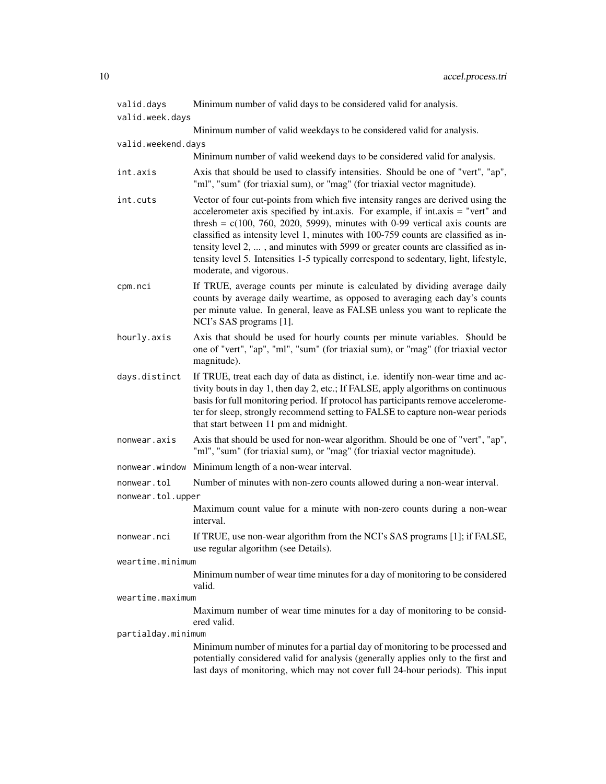| valid.days         | Minimum number of valid days to be considered valid for analysis.                                                                                                                                                                                                                                                                                                                                                                                                                                                                                    |
|--------------------|------------------------------------------------------------------------------------------------------------------------------------------------------------------------------------------------------------------------------------------------------------------------------------------------------------------------------------------------------------------------------------------------------------------------------------------------------------------------------------------------------------------------------------------------------|
| valid.week.days    |                                                                                                                                                                                                                                                                                                                                                                                                                                                                                                                                                      |
|                    | Minimum number of valid weekdays to be considered valid for analysis.                                                                                                                                                                                                                                                                                                                                                                                                                                                                                |
| valid.weekend.days |                                                                                                                                                                                                                                                                                                                                                                                                                                                                                                                                                      |
|                    | Minimum number of valid weekend days to be considered valid for analysis.                                                                                                                                                                                                                                                                                                                                                                                                                                                                            |
| int.axis           | Axis that should be used to classify intensities. Should be one of "vert", "ap",<br>"ml", "sum" (for triaxial sum), or "mag" (for triaxial vector magnitude).                                                                                                                                                                                                                                                                                                                                                                                        |
| int.cuts           | Vector of four cut-points from which five intensity ranges are derived using the<br>accelerometer axis specified by int.axis. For example, if int.axis = "vert" and<br>thresh = $c(100, 760, 2020, 5999)$ , minutes with 0-99 vertical axis counts are<br>classified as intensity level 1, minutes with 100-759 counts are classified as in-<br>tensity level 2, , and minutes with 5999 or greater counts are classified as in-<br>tensity level 5. Intensities 1-5 typically correspond to sedentary, light, lifestyle,<br>moderate, and vigorous. |
| cpm.nci            | If TRUE, average counts per minute is calculated by dividing average daily<br>counts by average daily weartime, as opposed to averaging each day's counts<br>per minute value. In general, leave as FALSE unless you want to replicate the<br>NCI's SAS programs [1].                                                                                                                                                                                                                                                                                |
| hourly.axis        | Axis that should be used for hourly counts per minute variables. Should be<br>one of "vert", "ap", "ml", "sum" (for triaxial sum), or "mag" (for triaxial vector<br>magnitude).                                                                                                                                                                                                                                                                                                                                                                      |
| days.distinct      | If TRUE, treat each day of data as distinct, i.e. identify non-wear time and ac-<br>tivity bouts in day 1, then day 2, etc.; If FALSE, apply algorithms on continuous<br>basis for full monitoring period. If protocol has participants remove accelerome-<br>ter for sleep, strongly recommend setting to FALSE to capture non-wear periods<br>that start between 11 pm and midnight.                                                                                                                                                               |
| nonwear.axis       | Axis that should be used for non-wear algorithm. Should be one of "vert", "ap",<br>"ml", "sum" (for triaxial sum), or "mag" (for triaxial vector magnitude).                                                                                                                                                                                                                                                                                                                                                                                         |
| nonwear.window     | Minimum length of a non-wear interval.                                                                                                                                                                                                                                                                                                                                                                                                                                                                                                               |
| nonwear.tol        | Number of minutes with non-zero counts allowed during a non-wear interval.                                                                                                                                                                                                                                                                                                                                                                                                                                                                           |
| nonwear.tol.upper  |                                                                                                                                                                                                                                                                                                                                                                                                                                                                                                                                                      |
|                    | Maximum count value for a minute with non-zero counts during a non-wear<br>interval.                                                                                                                                                                                                                                                                                                                                                                                                                                                                 |
| nonwear.nci        | If TRUE, use non-wear algorithm from the NCI's SAS programs [1]; if FALSE,<br>use regular algorithm (see Details).                                                                                                                                                                                                                                                                                                                                                                                                                                   |
| weartime.minimum   |                                                                                                                                                                                                                                                                                                                                                                                                                                                                                                                                                      |
|                    | Minimum number of wear time minutes for a day of monitoring to be considered<br>valid.                                                                                                                                                                                                                                                                                                                                                                                                                                                               |
| weartime.maximum   |                                                                                                                                                                                                                                                                                                                                                                                                                                                                                                                                                      |
|                    | Maximum number of wear time minutes for a day of monitoring to be consid-<br>ered valid.                                                                                                                                                                                                                                                                                                                                                                                                                                                             |
| partialday.minimum | Minimum number of minutes for a partial day of monitoring to be processed and                                                                                                                                                                                                                                                                                                                                                                                                                                                                        |
|                    | potentially considered valid for analysis (generally applies only to the first and<br>last days of monitoring, which may not cover full 24-hour periods). This input                                                                                                                                                                                                                                                                                                                                                                                 |
|                    |                                                                                                                                                                                                                                                                                                                                                                                                                                                                                                                                                      |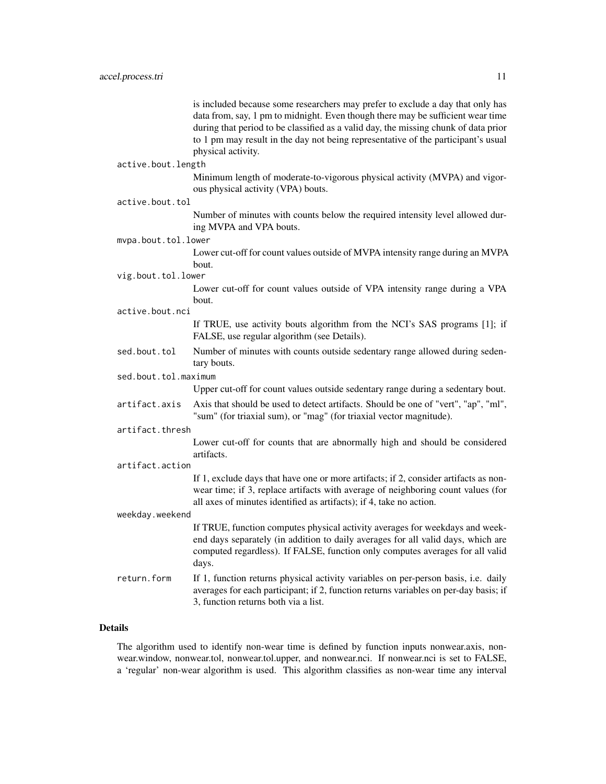is included because some researchers may prefer to exclude a day that only has data from, say, 1 pm to midnight. Even though there may be sufficient wear time during that period to be classified as a valid day, the missing chunk of data prior to 1 pm may result in the day not being representative of the participant's usual physical activity.

### active.bout.length

Minimum length of moderate-to-vigorous physical activity (MVPA) and vigorous physical activity (VPA) bouts.

#### active.bout.tol

Number of minutes with counts below the required intensity level allowed during MVPA and VPA bouts.

#### mvpa.bout.tol.lower

Lower cut-off for count values outside of MVPA intensity range during an MVPA bout.

vig.bout.tol.lower

Lower cut-off for count values outside of VPA intensity range during a VPA bout.

active.bout.nci

If TRUE, use activity bouts algorithm from the NCI's SAS programs [1]; if FALSE, use regular algorithm (see Details).

sed.bout.tol Number of minutes with counts outside sedentary range allowed during sedentary bouts.

# sed.bout.tol.maximum

Upper cut-off for count values outside sedentary range during a sedentary bout.

artifact.axis Axis that should be used to detect artifacts. Should be one of "vert", "ap", "ml", "sum" (for triaxial sum), or "mag" (for triaxial vector magnitude).

# artifact.thresh

Lower cut-off for counts that are abnormally high and should be considered artifacts.

#### artifact.action

If 1, exclude days that have one or more artifacts; if 2, consider artifacts as nonwear time; if 3, replace artifacts with average of neighboring count values (for all axes of minutes identified as artifacts); if 4, take no action.

#### weekday.weekend

If TRUE, function computes physical activity averages for weekdays and weekend days separately (in addition to daily averages for all valid days, which are computed regardless). If FALSE, function only computes averages for all valid days.

return.form If 1, function returns physical activity variables on per-person basis, i.e. daily averages for each participant; if 2, function returns variables on per-day basis; if 3, function returns both via a list.

# Details

The algorithm used to identify non-wear time is defined by function inputs nonwear.axis, nonwear.window, nonwear.tol, nonwear.tol.upper, and nonwear.nci. If nonwear.nci is set to FALSE, a 'regular' non-wear algorithm is used. This algorithm classifies as non-wear time any interval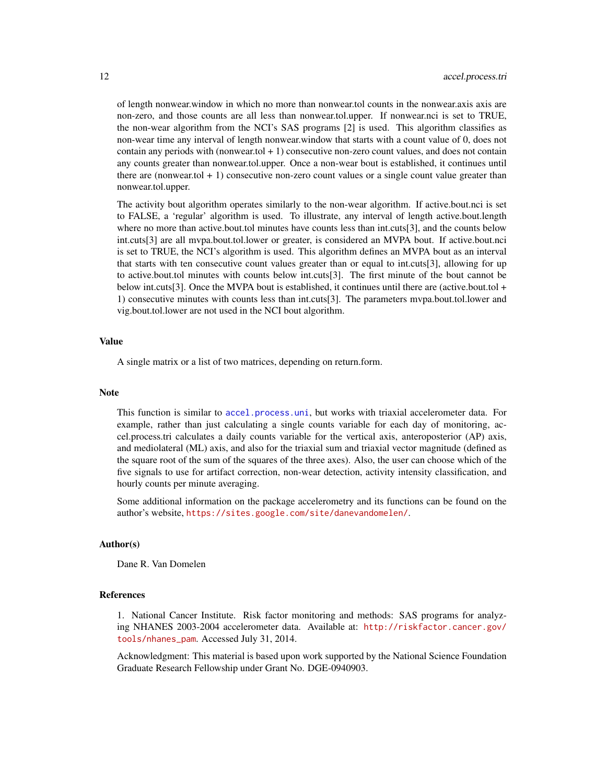<span id="page-11-0"></span>of length nonwear.window in which no more than nonwear.tol counts in the nonwear.axis axis are non-zero, and those counts are all less than nonwear.tol.upper. If nonwear.nci is set to TRUE, the non-wear algorithm from the NCI's SAS programs [2] is used. This algorithm classifies as non-wear time any interval of length nonwear.window that starts with a count value of 0, does not contain any periods with (nonwear.tol + 1) consecutive non-zero count values, and does not contain any counts greater than nonwear.tol.upper. Once a non-wear bout is established, it continues until there are (nonwear.tol  $+1$ ) consecutive non-zero count values or a single count value greater than nonwear.tol.upper.

The activity bout algorithm operates similarly to the non-wear algorithm. If active.bout.nci is set to FALSE, a 'regular' algorithm is used. To illustrate, any interval of length active.bout.length where no more than active.bout.tol minutes have counts less than int.cuts[3], and the counts below int.cuts[3] are all mvpa.bout.tol.lower or greater, is considered an MVPA bout. If active.bout.nci is set to TRUE, the NCI's algorithm is used. This algorithm defines an MVPA bout as an interval that starts with ten consecutive count values greater than or equal to int.cuts[3], allowing for up to active.bout.tol minutes with counts below int.cuts[3]. The first minute of the bout cannot be below int.cuts[3]. Once the MVPA bout is established, it continues until there are (active.bout.tol + 1) consecutive minutes with counts less than int.cuts[3]. The parameters mvpa.bout.tol.lower and vig.bout.tol.lower are not used in the NCI bout algorithm.

#### Value

A single matrix or a list of two matrices, depending on return.form.

#### **Note**

This function is similar to [accel.process.uni](#page-12-1), but works with triaxial accelerometer data. For example, rather than just calculating a single counts variable for each day of monitoring, accel.process.tri calculates a daily counts variable for the vertical axis, anteroposterior (AP) axis, and mediolateral (ML) axis, and also for the triaxial sum and triaxial vector magnitude (defined as the square root of the sum of the squares of the three axes). Also, the user can choose which of the five signals to use for artifact correction, non-wear detection, activity intensity classification, and hourly counts per minute averaging.

Some additional information on the package accelerometry and its functions can be found on the author's website, <https://sites.google.com/site/danevandomelen/>.

#### Author(s)

Dane R. Van Domelen

#### References

1. National Cancer Institute. Risk factor monitoring and methods: SAS programs for analyzing NHANES 2003-2004 accelerometer data. Available at: [http://riskfactor.cancer.gov/](http://riskfactor.cancer.gov/tools/nhanes_pam) [tools/nhanes\\_pam](http://riskfactor.cancer.gov/tools/nhanes_pam). Accessed July 31, 2014.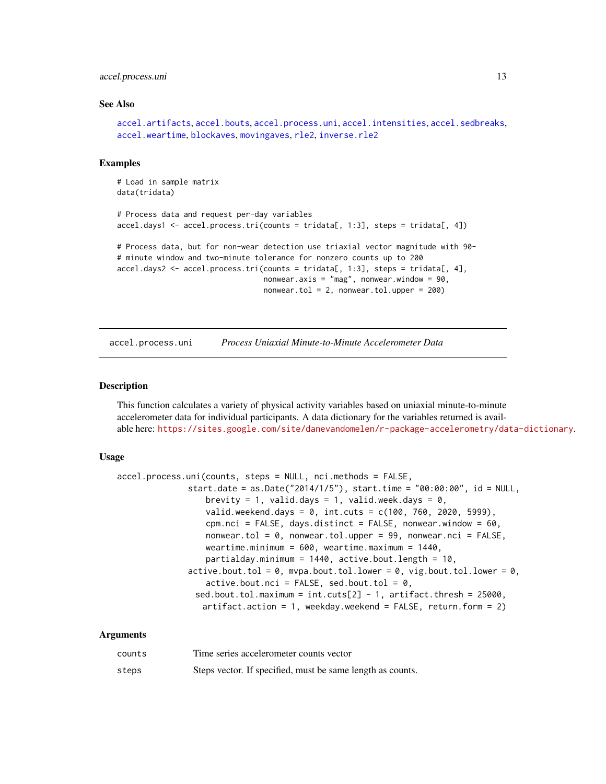#### <span id="page-12-0"></span>accel.process.uni 13

#### See Also

```
accel.artifacts, accel.bouts, accel.process.uni, accel.intensities, accel.sedbreaks,
accel.weartime, blockaves, movingaves, rle2, inverse.rle2
```
#### Examples

```
# Load in sample matrix
data(tridata)
# Process data and request per-day variables
accel.days1 <- accel.process.tri(counts = tridata[, 1:3], steps = tridata[, 4])
# Process data, but for non-wear detection use triaxial vector magnitude with 90-
# minute window and two-minute tolerance for nonzero counts up to 200
accel.days2 \leq accel.process.tri(counts = tridata[, 1:3], steps = tridata[, 4],nonwear.axis = "mag", nonwear.window = 90,
                                 nonwear.tol = 2, nonwear.tol.upper = 200)
```
<span id="page-12-1"></span>accel.process.uni *Process Uniaxial Minute-to-Minute Accelerometer Data*

#### Description

This function calculates a variety of physical activity variables based on uniaxial minute-to-minute accelerometer data for individual participants. A data dictionary for the variables returned is available here: <https://sites.google.com/site/danevandomelen/r-package-accelerometry/data-dictionary>.

#### Usage

```
accel.process.uni(counts, steps = NULL, nci.methods = FALSE,
               start.date = as.Date("2014/1/5"), start.time = "00:00:00", id = NULL,
                  brevity = 1, valid.days = 1, valid.week.days = 0,
                  valid.weekend.days = 0, int.cuts = c(100, 760, 2020, 5999),
                  cpm.nci = FALSE, days.distinct = FALSE, nonwear.window = 60,
                  nonwear.tol = 0, nonwear.tol.upper = 99, nonwear.nci = FALSE,
                  weartime.minimum = 600, weartime.maximum = 1440,
                  partialday.minimum = 1440, active.bout.length = 10,
               active.bout.tol = 0, mvpa.bout.tol.lower = 0, vig.bout.tol.lower = 0,
                  active.bout.nci = FALSE, sed.bout.tol = <math>0</math>,sed.bout.tol.maximum = int.cuts[2] - 1, artifact.thresh = 25000,
                 artifact.action = 1, weekday.weekend = FALSE, return.form = 2)
```
#### Arguments

| counts | Time series accelerometer counts vector                    |
|--------|------------------------------------------------------------|
| steps  | Steps vector. If specified, must be same length as counts. |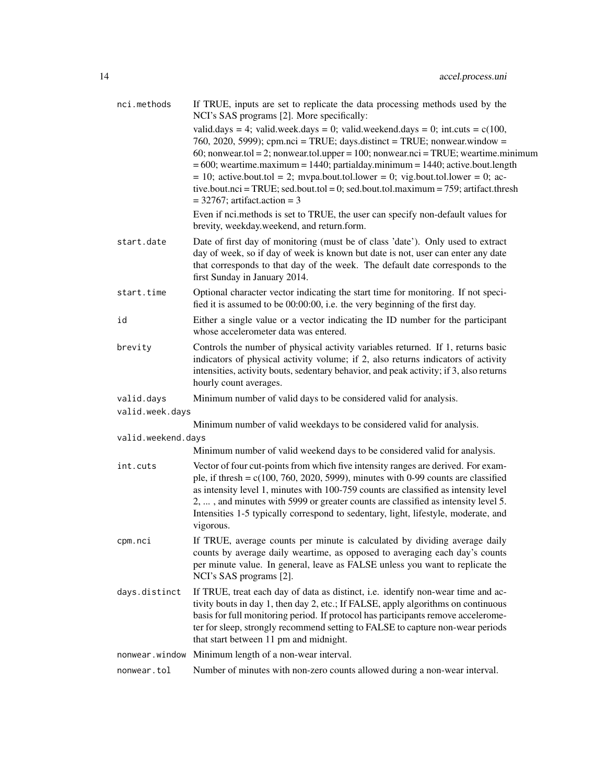| nci.methods        | If TRUE, inputs are set to replicate the data processing methods used by the<br>NCI's SAS programs [2]. More specifically:                                                                                                                                                                                                                                                                                                                                                                                                                                                   |
|--------------------|------------------------------------------------------------------------------------------------------------------------------------------------------------------------------------------------------------------------------------------------------------------------------------------------------------------------------------------------------------------------------------------------------------------------------------------------------------------------------------------------------------------------------------------------------------------------------|
|                    | valid.days = 4; valid.week.days = 0; valid.weekend.days = 0; int.cuts = $c(100,$<br>760, 2020, 5999); cpm.nci = TRUE; days.distinct = TRUE; nonwear.window =<br>60; nonwear.tol = 2; nonwear.tol.upper = $100$ ; nonwear.nci = TRUE; weartime.minimum<br>$= 600$ ; weartime.maximum $= 1440$ ; partialday.minimum $= 1440$ ; active.bout.length<br>$= 10$ ; active.bout.tol $= 2$ ; mvpa.bout.tol.lower $= 0$ ; vig.bout.tol.lower $= 0$ ; ac-<br>tive.bout.nci = TRUE; sed.bout.tol = 0; sed.bout.tol.maximum = $759$ ; artifact.thresh<br>$=$ 32767; artifact.action $=$ 3 |
|                    | Even if nci.methods is set to TRUE, the user can specify non-default values for<br>brevity, weekday.weekend, and return.form.                                                                                                                                                                                                                                                                                                                                                                                                                                                |
| start.date         | Date of first day of monitoring (must be of class 'date'). Only used to extract<br>day of week, so if day of week is known but date is not, user can enter any date<br>that corresponds to that day of the week. The default date corresponds to the<br>first Sunday in January 2014.                                                                                                                                                                                                                                                                                        |
| start.time         | Optional character vector indicating the start time for monitoring. If not speci-<br>fied it is assumed to be 00:00:00, i.e. the very beginning of the first day.                                                                                                                                                                                                                                                                                                                                                                                                            |
| id                 | Either a single value or a vector indicating the ID number for the participant<br>whose accelerometer data was entered.                                                                                                                                                                                                                                                                                                                                                                                                                                                      |
| brevity            | Controls the number of physical activity variables returned. If 1, returns basic<br>indicators of physical activity volume; if 2, also returns indicators of activity<br>intensities, activity bouts, sedentary behavior, and peak activity; if 3, also returns<br>hourly count averages.                                                                                                                                                                                                                                                                                    |
| valid.days         | Minimum number of valid days to be considered valid for analysis.                                                                                                                                                                                                                                                                                                                                                                                                                                                                                                            |
| valid.week.days    |                                                                                                                                                                                                                                                                                                                                                                                                                                                                                                                                                                              |
|                    | Minimum number of valid weekdays to be considered valid for analysis.                                                                                                                                                                                                                                                                                                                                                                                                                                                                                                        |
| valid.weekend.days |                                                                                                                                                                                                                                                                                                                                                                                                                                                                                                                                                                              |
|                    | Minimum number of valid weekend days to be considered valid for analysis.                                                                                                                                                                                                                                                                                                                                                                                                                                                                                                    |
| int.cuts           | Vector of four cut-points from which five intensity ranges are derived. For exam-<br>ple, if thresh = $c(100, 760, 2020, 5999)$ , minutes with 0-99 counts are classified<br>as intensity level 1, minutes with 100-759 counts are classified as intensity level<br>2, , and minutes with 5999 or greater counts are classified as intensity level 5.<br>Intensities 1-5 typically correspond to sedentary, light, lifestyle, moderate, and<br>vigorous.                                                                                                                     |
| cpm.nci            | If TRUE, average counts per minute is calculated by dividing average daily<br>counts by average daily weartime, as opposed to averaging each day's counts<br>per minute value. In general, leave as FALSE unless you want to replicate the<br>NCI's SAS programs [2].                                                                                                                                                                                                                                                                                                        |
| days.distinct      | If TRUE, treat each day of data as distinct, i.e. identify non-wear time and ac-<br>tivity bouts in day 1, then day 2, etc.; If FALSE, apply algorithms on continuous<br>basis for full monitoring period. If protocol has participants remove accelerome-<br>ter for sleep, strongly recommend setting to FALSE to capture non-wear periods<br>that start between 11 pm and midnight.                                                                                                                                                                                       |
|                    | nonwear.window Minimum length of a non-wear interval.                                                                                                                                                                                                                                                                                                                                                                                                                                                                                                                        |
| nonwear.tol        | Number of minutes with non-zero counts allowed during a non-wear interval.                                                                                                                                                                                                                                                                                                                                                                                                                                                                                                   |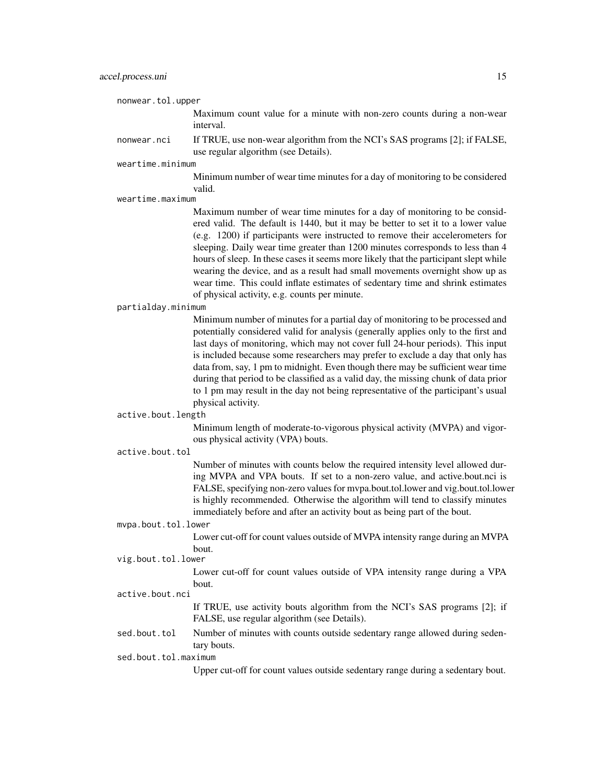nonwear.tol.upper

Maximum count value for a minute with non-zero counts during a non-wear interval.

nonwear.nci If TRUE, use non-wear algorithm from the NCI's SAS programs [2]; if FALSE, use regular algorithm (see Details).

weartime.minimum

Minimum number of wear time minutes for a day of monitoring to be considered valid.

weartime.maximum

Maximum number of wear time minutes for a day of monitoring to be considered valid. The default is 1440, but it may be better to set it to a lower value (e.g. 1200) if participants were instructed to remove their accelerometers for sleeping. Daily wear time greater than 1200 minutes corresponds to less than 4 hours of sleep. In these cases it seems more likely that the participant slept while wearing the device, and as a result had small movements overnight show up as wear time. This could inflate estimates of sedentary time and shrink estimates of physical activity, e.g. counts per minute.

#### partialday.minimum

Minimum number of minutes for a partial day of monitoring to be processed and potentially considered valid for analysis (generally applies only to the first and last days of monitoring, which may not cover full 24-hour periods). This input is included because some researchers may prefer to exclude a day that only has data from, say, 1 pm to midnight. Even though there may be sufficient wear time during that period to be classified as a valid day, the missing chunk of data prior to 1 pm may result in the day not being representative of the participant's usual physical activity.

#### active.bout.length

Minimum length of moderate-to-vigorous physical activity (MVPA) and vigorous physical activity (VPA) bouts.

#### active.bout.tol

Number of minutes with counts below the required intensity level allowed during MVPA and VPA bouts. If set to a non-zero value, and active.bout.nci is FALSE, specifying non-zero values for mvpa.bout.tol.lower and vig.bout.tol.lower is highly recommended. Otherwise the algorithm will tend to classify minutes immediately before and after an activity bout as being part of the bout.

#### mvpa.bout.tol.lower

Lower cut-off for count values outside of MVPA intensity range during an MVPA bout.

# vig.bout.tol.lower

Lower cut-off for count values outside of VPA intensity range during a VPA bout.

#### active.bout.nci

If TRUE, use activity bouts algorithm from the NCI's SAS programs [2]; if FALSE, use regular algorithm (see Details).

sed.bout.tol Number of minutes with counts outside sedentary range allowed during sedentary bouts.

sed.bout.tol.maximum

Upper cut-off for count values outside sedentary range during a sedentary bout.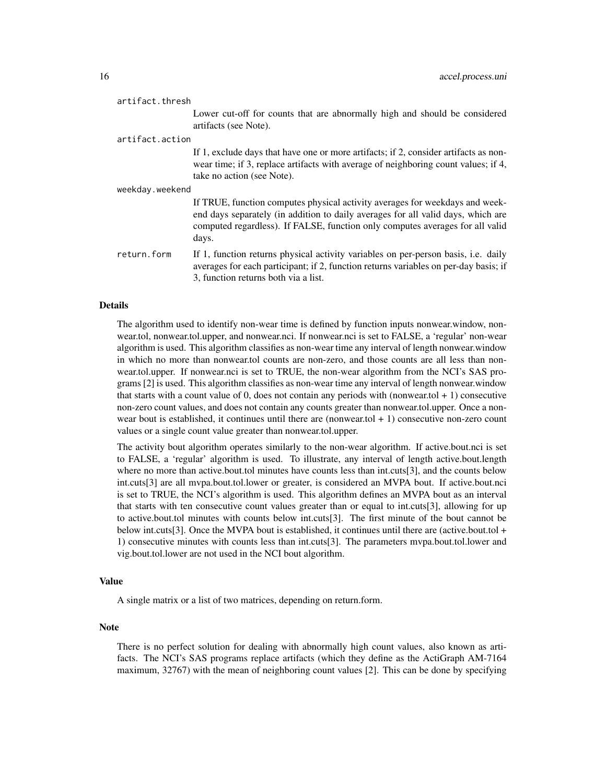| artifact.thresh |                                                                                                                                                                                                                                                            |
|-----------------|------------------------------------------------------------------------------------------------------------------------------------------------------------------------------------------------------------------------------------------------------------|
|                 | Lower cut-off for counts that are abnormally high and should be considered<br>artifacts (see Note).                                                                                                                                                        |
| artifact.action |                                                                                                                                                                                                                                                            |
|                 | If 1, exclude days that have one or more artifacts; if 2, consider artifacts as non-<br>wear time; if 3, replace artifacts with average of neighboring count values; if 4,<br>take no action (see Note).                                                   |
| weekday.weekend |                                                                                                                                                                                                                                                            |
|                 | If TRUE, function computes physical activity averages for weekdays and week-<br>end days separately (in addition to daily averages for all valid days, which are<br>computed regardless). If FALSE, function only computes averages for all valid<br>days. |
| return.form     | If 1, function returns physical activity variables on per-person basis, i.e. daily<br>averages for each participant; if 2, function returns variables on per-day basis; if<br>3, function returns both via a list.                                         |

#### Details

The algorithm used to identify non-wear time is defined by function inputs nonwear.window, nonwear.tol, nonwear.tol.upper, and nonwear.nci. If nonwear.nci is set to FALSE, a 'regular' non-wear algorithm is used. This algorithm classifies as non-wear time any interval of length nonwear.window in which no more than nonwear.tol counts are non-zero, and those counts are all less than nonwear.tol.upper. If nonwear.nci is set to TRUE, the non-wear algorithm from the NCI's SAS programs [2] is used. This algorithm classifies as non-wear time any interval of length nonwear.window that starts with a count value of 0, does not contain any periods with (nonwear.tol  $+1$ ) consecutive non-zero count values, and does not contain any counts greater than nonwear.tol.upper. Once a nonwear bout is established, it continues until there are (nonwear.tol + 1) consecutive non-zero count values or a single count value greater than nonwear.tol.upper.

The activity bout algorithm operates similarly to the non-wear algorithm. If active.bout.nci is set to FALSE, a 'regular' algorithm is used. To illustrate, any interval of length active.bout.length where no more than active.bout.tol minutes have counts less than int.cuts[3], and the counts below int.cuts[3] are all mvpa.bout.tol.lower or greater, is considered an MVPA bout. If active.bout.nci is set to TRUE, the NCI's algorithm is used. This algorithm defines an MVPA bout as an interval that starts with ten consecutive count values greater than or equal to int.cuts[3], allowing for up to active.bout.tol minutes with counts below int.cuts[3]. The first minute of the bout cannot be below int.cuts[3]. Once the MVPA bout is established, it continues until there are (active.bout.tol + 1) consecutive minutes with counts less than int.cuts[3]. The parameters mvpa.bout.tol.lower and vig.bout.tol.lower are not used in the NCI bout algorithm.

#### Value

A single matrix or a list of two matrices, depending on return.form.

#### Note

There is no perfect solution for dealing with abnormally high count values, also known as artifacts. The NCI's SAS programs replace artifacts (which they define as the ActiGraph AM-7164 maximum, 32767) with the mean of neighboring count values [2]. This can be done by specifying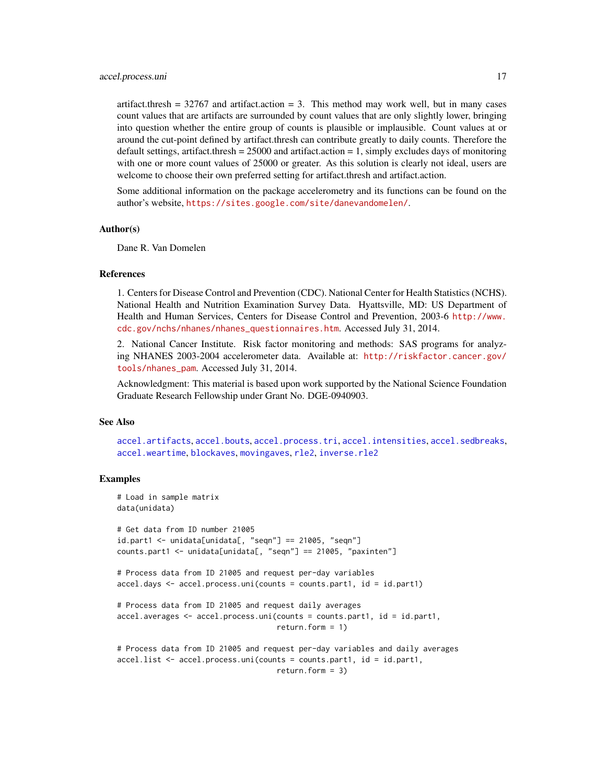#### <span id="page-16-0"></span>accel.process.uni 17

artifact.thresh =  $32767$  and artifact.action = 3. This method may work well, but in many cases count values that are artifacts are surrounded by count values that are only slightly lower, bringing into question whether the entire group of counts is plausible or implausible. Count values at or around the cut-point defined by artifact.thresh can contribute greatly to daily counts. Therefore the default settings, artifact.thresh =  $25000$  and artifact.action = 1, simply excludes days of monitoring with one or more count values of 25000 or greater. As this solution is clearly not ideal, users are welcome to choose their own preferred setting for artifact.thresh and artifact.action.

Some additional information on the package accelerometry and its functions can be found on the author's website, <https://sites.google.com/site/danevandomelen/>.

#### Author(s)

Dane R. Van Domelen

#### References

1. Centers for Disease Control and Prevention (CDC). National Center for Health Statistics (NCHS). National Health and Nutrition Examination Survey Data. Hyattsville, MD: US Department of Health and Human Services, Centers for Disease Control and Prevention, 2003-6 [http://www.](http://www.cdc.gov/nchs/nhanes/nhanes_questionnaires.htm) [cdc.gov/nchs/nhanes/nhanes\\_questionnaires.htm](http://www.cdc.gov/nchs/nhanes/nhanes_questionnaires.htm). Accessed July 31, 2014.

2. National Cancer Institute. Risk factor monitoring and methods: SAS programs for analyzing NHANES 2003-2004 accelerometer data. Available at: [http://riskfactor.cancer.gov/](http://riskfactor.cancer.gov/tools/nhanes_pam) [tools/nhanes\\_pam](http://riskfactor.cancer.gov/tools/nhanes_pam). Accessed July 31, 2014.

Acknowledgment: This material is based upon work supported by the National Science Foundation Graduate Research Fellowship under Grant No. DGE-0940903.

#### See Also

[accel.artifacts](#page-3-1), [accel.bouts](#page-4-1), [accel.process.tri](#page-7-1), [accel.intensities](#page-6-1), [accel.sedbreaks](#page-17-1), [accel.weartime](#page-18-1), [blockaves](#page-20-1), [movingaves](#page-22-1), [rle2](#page-25-1), [inverse.rle2](#page-21-1)

# Examples

```
# Load in sample matrix
data(unidata)
# Get data from ID number 21005
id.part1 <- unidata[unidata[, "seqn"] == 21005, "seqn"]
counts.part1 <- unidata[unidata[, "seqn"] == 21005, "paxinten"]
# Process data from ID 21005 and request per-day variables
accel.days <- accel.process.uni(counts = counts.part1, id = id.part1)
# Process data from ID 21005 and request daily averages
accel.averages <- accel.process.uni(counts = counts.part1, id = id.part1,
                                    return.form = 1)
# Process data from ID 21005 and request per-day variables and daily averages
accel.list <- accel.process.uni(counts = counts.part1, id = id.part1,
                                    return.form = 3)
```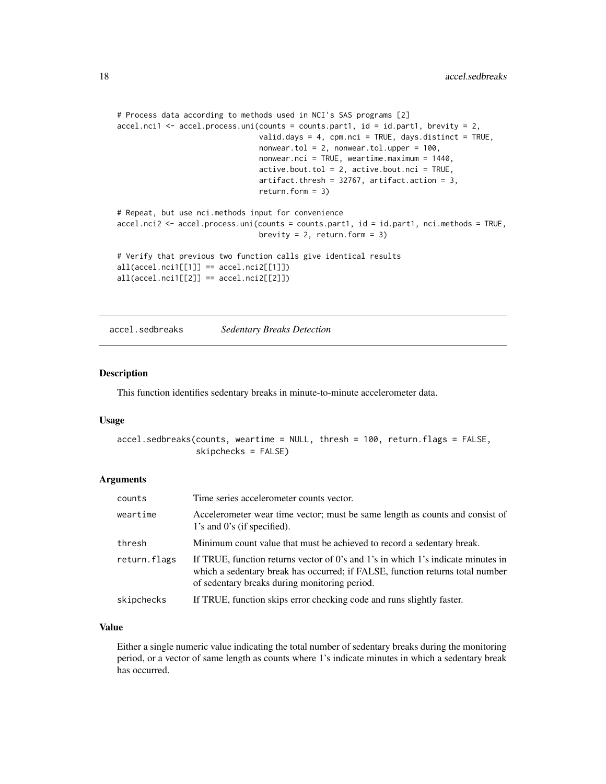```
# Process data according to methods used in NCI's SAS programs [2]
accel.nci1 <- accel.process.uni(counts = counts.part1, id = id.part1, brevity = 2,
                                valid.days = 4, cpm.nci = TRUE, days.distinct = TRUE,
                                nonwear.tol = 2, nonwear.tol.upper = 100,
                                nonwear.nci = TRUE, weartime.maximum = 1440,
                                active.bout.tol = 2, active.bout.net = TRUE,
                                artifact.thresh = 32767, artifact.action = 3,
                                return.form = 3)
# Repeat, but use nci.methods input for convenience
accel.nci2 <- accel.process.uni(counts = counts.part1, id = id.part1, nci.methods = TRUE,
                                brevity = 2, return.form = 3)
# Verify that previous two function calls give identical results
all(accel.nci1[[1]] == accel.nci2[[1]])
all(accel.nci1[[2]] == accel.nci2[[2]])
```

```
accel.sedbreaks Sedentary Breaks Detection
```
#### Description

This function identifies sedentary breaks in minute-to-minute accelerometer data.

#### Usage

```
accel.sedbreaks(counts, weartime = NULL, thresh = 100, return.flags = FALSE,
                skipchecks = FALSE)
```
#### Arguments

| counts       | Time series accelerometer counts vector.                                                                                                                                                                           |
|--------------|--------------------------------------------------------------------------------------------------------------------------------------------------------------------------------------------------------------------|
| weartime     | Accelerometer wear time vector; must be same length as counts and consist of<br>1's and 0's (if specified).                                                                                                        |
| thresh       | Minimum count value that must be achieved to record a sedentary break.                                                                                                                                             |
| return.flags | If TRUE, function returns vector of 0's and 1's in which 1's indicate minutes in<br>which a sedentary break has occurred; if FALSE, function returns total number<br>of sedentary breaks during monitoring period. |
| skipchecks   | If TRUE, function skips error checking code and runs slightly faster.                                                                                                                                              |

#### Value

Either a single numeric value indicating the total number of sedentary breaks during the monitoring period, or a vector of same length as counts where 1's indicate minutes in which a sedentary break has occurred.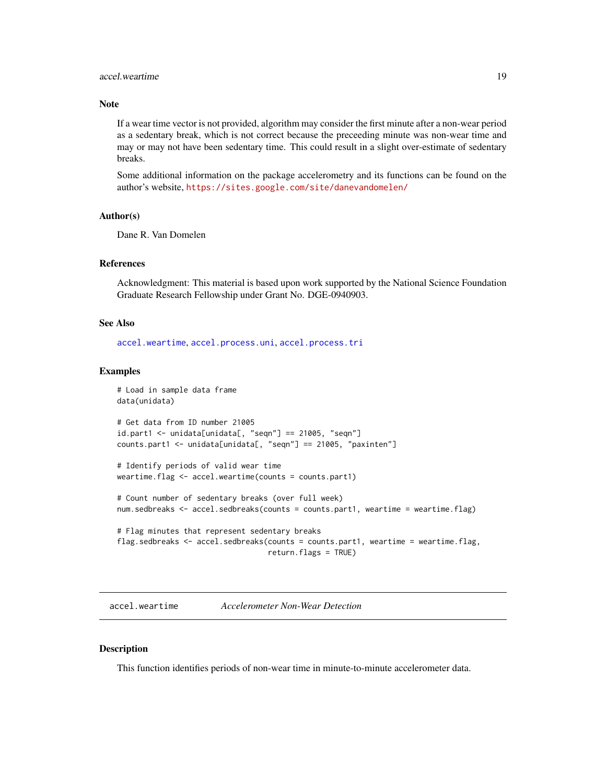# <span id="page-18-0"></span>accel.weartime 19

#### Note

If a wear time vector is not provided, algorithm may consider the first minute after a non-wear period as a sedentary break, which is not correct because the preceeding minute was non-wear time and may or may not have been sedentary time. This could result in a slight over-estimate of sedentary breaks.

Some additional information on the package accelerometry and its functions can be found on the author's website, <https://sites.google.com/site/danevandomelen/>

### Author(s)

Dane R. Van Domelen

#### References

Acknowledgment: This material is based upon work supported by the National Science Foundation Graduate Research Fellowship under Grant No. DGE-0940903.

# See Also

[accel.weartime](#page-18-1), [accel.process.uni](#page-12-1), [accel.process.tri](#page-7-1)

#### Examples

```
# Load in sample data frame
data(unidata)
# Get data from ID number 21005
id.part1 <- unidata[unidata[, "seqn"] == 21005, "seqn"]
counts.part1 <- unidata[unidata[, "seqn"] == 21005, "paxinten"]
# Identify periods of valid wear time
weartime.flag <- accel.weartime(counts = counts.part1)
# Count number of sedentary breaks (over full week)
num.sedbreaks <- accel.sedbreaks(counts = counts.part1, weartime = weartime.flag)
# Flag minutes that represent sedentary breaks
flag.sedbreaks <- accel.sedbreaks(counts = counts.part1, weartime = weartime.flag,
                                  return.flags = TRUE)
```
<span id="page-18-1"></span>accel.weartime *Accelerometer Non-Wear Detection*

# Description

This function identifies periods of non-wear time in minute-to-minute accelerometer data.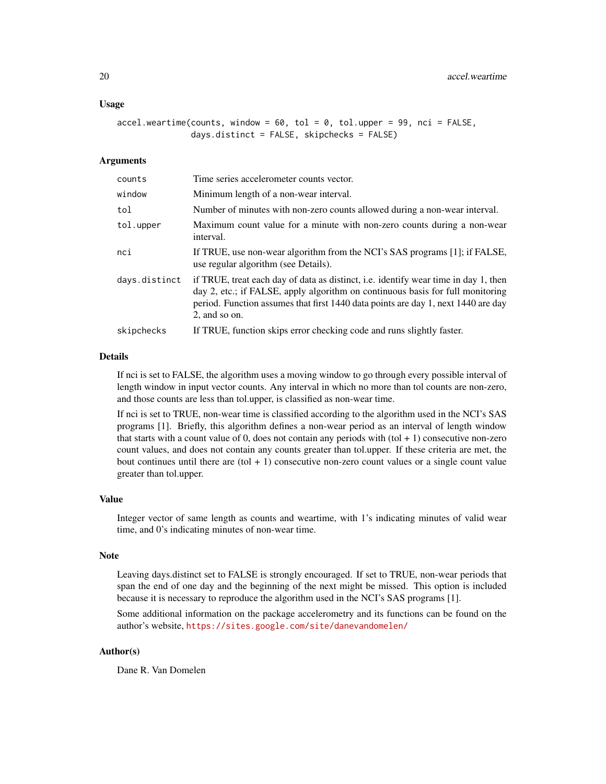#### Usage

```
accel.weartime(counts, window = 60, tol = 0, tol.upper = 99, nci = FALSE,
               days.distinct = FALSE, skipchecks = FALSE)
```
#### **Arguments**

| counts        | Time series accelerometer counts vector.                                                                                                                                                                                                                                    |
|---------------|-----------------------------------------------------------------------------------------------------------------------------------------------------------------------------------------------------------------------------------------------------------------------------|
| window        | Minimum length of a non-wear interval.                                                                                                                                                                                                                                      |
| tol           | Number of minutes with non-zero counts allowed during a non-wear interval.                                                                                                                                                                                                  |
| tol.upper     | Maximum count value for a minute with non-zero counts during a non-wear<br>interval.                                                                                                                                                                                        |
| nci           | If TRUE, use non-wear algorithm from the NCI's SAS programs [1]; if FALSE,<br>use regular algorithm (see Details).                                                                                                                                                          |
| days.distinct | if TRUE, treat each day of data as distinct, i.e. identify wear time in day 1, then<br>day 2, etc.; if FALSE, apply algorithm on continuous basis for full monitoring<br>period. Function assumes that first 1440 data points are day 1, next 1440 are day<br>2, and so on. |
| skipchecks    | If TRUE, function skips error checking code and runs slightly faster.                                                                                                                                                                                                       |

#### Details

If nci is set to FALSE, the algorithm uses a moving window to go through every possible interval of length window in input vector counts. Any interval in which no more than tol counts are non-zero, and those counts are less than tol.upper, is classified as non-wear time.

If nci is set to TRUE, non-wear time is classified according to the algorithm used in the NCI's SAS programs [1]. Briefly, this algorithm defines a non-wear period as an interval of length window that starts with a count value of 0, does not contain any periods with  $(tol + 1)$  consecutive non-zero count values, and does not contain any counts greater than tol.upper. If these criteria are met, the bout continues until there are  $(tol + 1)$  consecutive non-zero count values or a single count value greater than tol.upper.

#### Value

Integer vector of same length as counts and weartime, with 1's indicating minutes of valid wear time, and 0's indicating minutes of non-wear time.

#### Note

Leaving days.distinct set to FALSE is strongly encouraged. If set to TRUE, non-wear periods that span the end of one day and the beginning of the next might be missed. This option is included because it is necessary to reproduce the algorithm used in the NCI's SAS programs [1].

Some additional information on the package accelerometry and its functions can be found on the author's website, <https://sites.google.com/site/danevandomelen/>

# Author(s)

Dane R. Van Domelen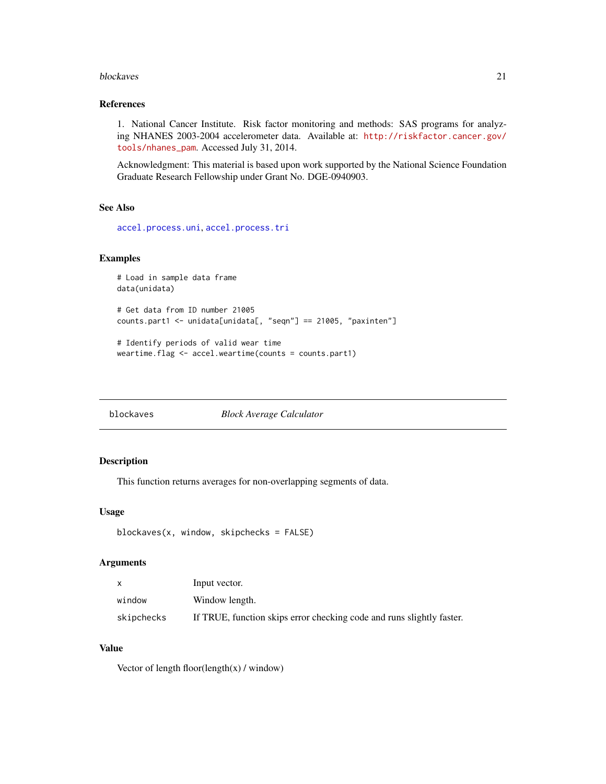#### <span id="page-20-0"></span>blockaves 21

# References

1. National Cancer Institute. Risk factor monitoring and methods: SAS programs for analyzing NHANES 2003-2004 accelerometer data. Available at: [http://riskfactor.cancer.gov/](http://riskfactor.cancer.gov/tools/nhanes_pam) [tools/nhanes\\_pam](http://riskfactor.cancer.gov/tools/nhanes_pam). Accessed July 31, 2014.

Acknowledgment: This material is based upon work supported by the National Science Foundation Graduate Research Fellowship under Grant No. DGE-0940903.

# See Also

[accel.process.uni](#page-12-1), [accel.process.tri](#page-7-1)

#### Examples

```
# Load in sample data frame
data(unidata)
# Get data from ID number 21005
counts.part1 <- unidata[unidata[, "seqn"] == 21005, "paxinten"]
# Identify periods of valid wear time
weartime.flag <- accel.weartime(counts = counts.part1)
```
<span id="page-20-1"></span>blockaves *Block Average Calculator*

### Description

This function returns averages for non-overlapping segments of data.

# Usage

```
blockaves(x, window, skipchecks = FALSE)
```
#### Arguments

| $\mathsf{x}$ | Input vector.                                                         |
|--------------|-----------------------------------------------------------------------|
| window       | Window length.                                                        |
| skipchecks   | If TRUE, function skips error checking code and runs slightly faster. |

# Value

Vector of length floor(length(x) / window)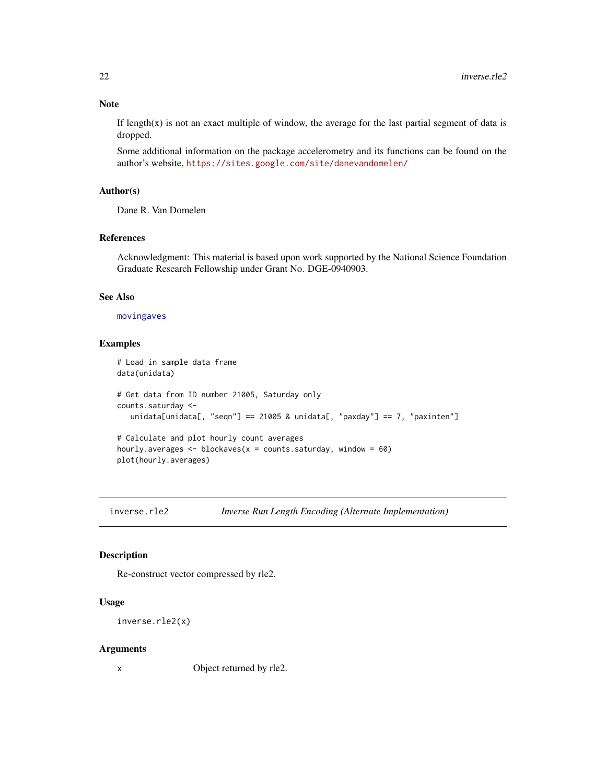# <span id="page-21-0"></span>Note

If  $length(x)$  is not an exact multiple of window, the average for the last partial segment of data is dropped.

Some additional information on the package accelerometry and its functions can be found on the author's website, <https://sites.google.com/site/danevandomelen/>

# Author(s)

Dane R. Van Domelen

#### References

Acknowledgment: This material is based upon work supported by the National Science Foundation Graduate Research Fellowship under Grant No. DGE-0940903.

# See Also

#### [movingaves](#page-22-1)

# Examples

```
# Load in sample data frame
data(unidata)
# Get data from ID number 21005, Saturday only
counts.saturday <-
   unidata[unidata[, "seqn"] == 21005 & unidata[, "paxday"] == 7, "paxinten"]
# Calculate and plot hourly count averages
hourly.averages \leq blockaves(x = counts.saturday, window = 60)
plot(hourly.averages)
```
<span id="page-21-1"></span>inverse.rle2 *Inverse Run Length Encoding (Alternate Implementation)*

# Description

Re-construct vector compressed by rle2.

#### Usage

```
inverse.rle2(x)
```
#### Arguments

x Object returned by rle2.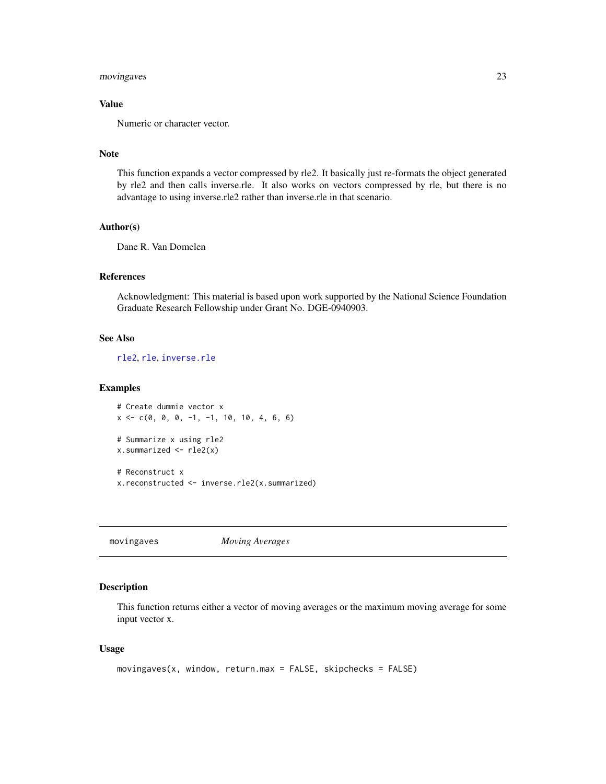# <span id="page-22-0"></span>movingaves 23

# Value

Numeric or character vector.

# Note

This function expands a vector compressed by rle2. It basically just re-formats the object generated by rle2 and then calls inverse.rle. It also works on vectors compressed by rle, but there is no advantage to using inverse.rle2 rather than inverse.rle in that scenario.

#### Author(s)

Dane R. Van Domelen

# References

Acknowledgment: This material is based upon work supported by the National Science Foundation Graduate Research Fellowship under Grant No. DGE-0940903.

# See Also

[rle2](#page-25-1), [rle](#page-0-0), [inverse.rle](#page-0-0)

### Examples

```
# Create dummie vector x
x \leq -c(0, 0, 0, -1, -1, 10, 10, 4, 6, 6)# Summarize x using rle2
x.summarized <- rle2(x)
# Reconstruct x
x.reconstructed <- inverse.rle2(x.summarized)
```
<span id="page-22-1"></span>movingaves *Moving Averages*

# **Description**

This function returns either a vector of moving averages or the maximum moving average for some input vector x.

# Usage

```
movingaves(x, window, return.max = FALSE, skipchecks = FALSE)
```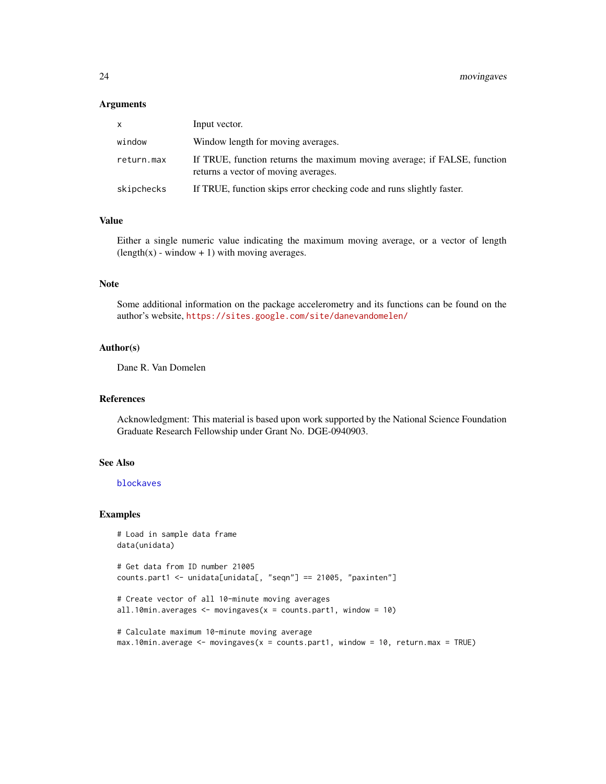#### <span id="page-23-0"></span>**Arguments**

| <b>X</b>   | Input vector.                                                                                                    |
|------------|------------------------------------------------------------------------------------------------------------------|
| window     | Window length for moving averages.                                                                               |
| return.max | If TRUE, function returns the maximum moving average; if FALSE, function<br>returns a vector of moving averages. |
| skipchecks | If TRUE, function skips error checking code and runs slightly faster.                                            |

# Value

Either a single numeric value indicating the maximum moving average, or a vector of length  $(\text{length}(x) - \text{window} + 1)$  with moving averages.

### Note

Some additional information on the package accelerometry and its functions can be found on the author's website, <https://sites.google.com/site/danevandomelen/>

#### Author(s)

Dane R. Van Domelen

#### References

Acknowledgment: This material is based upon work supported by the National Science Foundation Graduate Research Fellowship under Grant No. DGE-0940903.

### See Also

[blockaves](#page-20-1)

#### Examples

```
# Load in sample data frame
data(unidata)
# Get data from ID number 21005
counts.part1 <- unidata[unidata[, "seqn"] == 21005, "paxinten"]
# Create vector of all 10-minute moving averages
all.10min.averages \leq movingaves(x = counts.part1, window = 10)
# Calculate maximum 10-minute moving average
max.10min.average <- movingaves(x = counts.part1, window = 10, return.max = TRUE)
```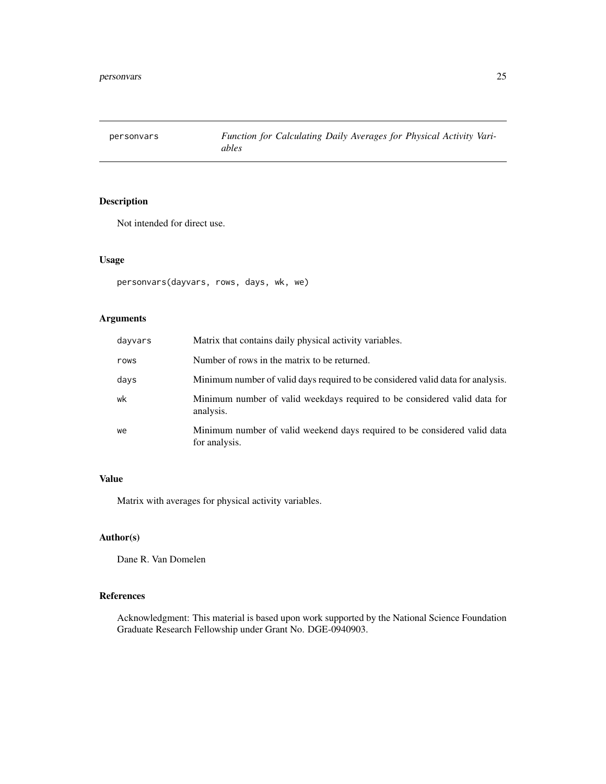<span id="page-24-0"></span>

# Description

Not intended for direct use.

# Usage

```
personvars(dayvars, rows, days, wk, we)
```
# Arguments

| dayvars | Matrix that contains daily physical activity variables.                                    |
|---------|--------------------------------------------------------------------------------------------|
| rows    | Number of rows in the matrix to be returned.                                               |
| days    | Minimum number of valid days required to be considered valid data for analysis.            |
| wk      | Minimum number of valid weekdays required to be considered valid data for<br>analysis.     |
| we      | Minimum number of valid weekend days required to be considered valid data<br>for analysis. |

# Value

Matrix with averages for physical activity variables.

# Author(s)

Dane R. Van Domelen

# References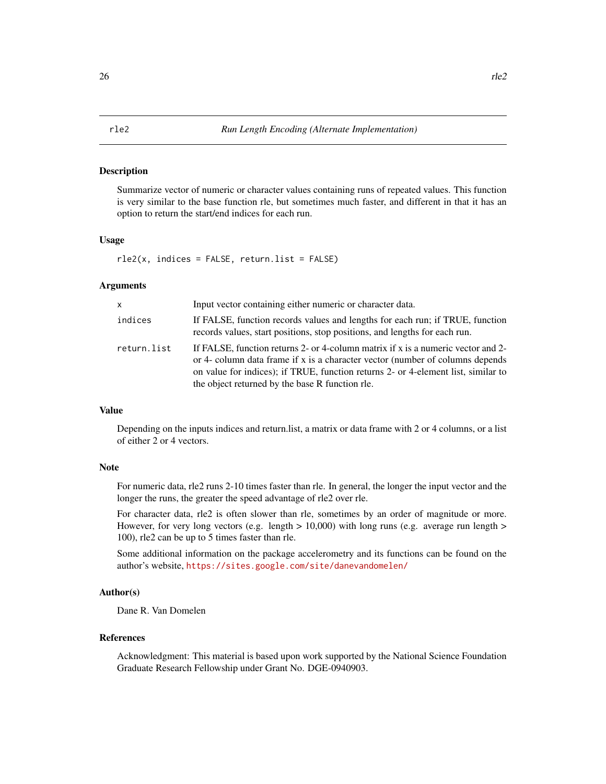#### <span id="page-25-1"></span><span id="page-25-0"></span>Description

Summarize vector of numeric or character values containing runs of repeated values. This function is very similar to the base function rle, but sometimes much faster, and different in that it has an option to return the start/end indices for each run.

#### Usage

rle2(x, indices = FALSE, return.list = FALSE)

#### **Arguments**

| X           | Input vector containing either numeric or character data.                                                                                                                                                                                                                                                 |
|-------------|-----------------------------------------------------------------------------------------------------------------------------------------------------------------------------------------------------------------------------------------------------------------------------------------------------------|
| indices     | If FALSE, function records values and lengths for each run; if TRUE, function<br>records values, start positions, stop positions, and lengths for each run.                                                                                                                                               |
| return.list | If FALSE, function returns 2- or 4-column matrix if x is a numeric vector and 2-<br>or 4- column data frame if x is a character vector (number of columns depends<br>on value for indices); if TRUE, function returns 2- or 4-element list, similar to<br>the object returned by the base R function rle. |

#### Value

Depending on the inputs indices and return.list, a matrix or data frame with 2 or 4 columns, or a list of either 2 or 4 vectors.

# Note

For numeric data, rle2 runs 2-10 times faster than rle. In general, the longer the input vector and the longer the runs, the greater the speed advantage of rle2 over rle.

For character data, rle2 is often slower than rle, sometimes by an order of magnitude or more. However, for very long vectors (e.g. length  $> 10,000$ ) with long runs (e.g. average run length  $>$ 100), rle2 can be up to 5 times faster than rle.

Some additional information on the package accelerometry and its functions can be found on the author's website, <https://sites.google.com/site/danevandomelen/>

# Author(s)

Dane R. Van Domelen

#### References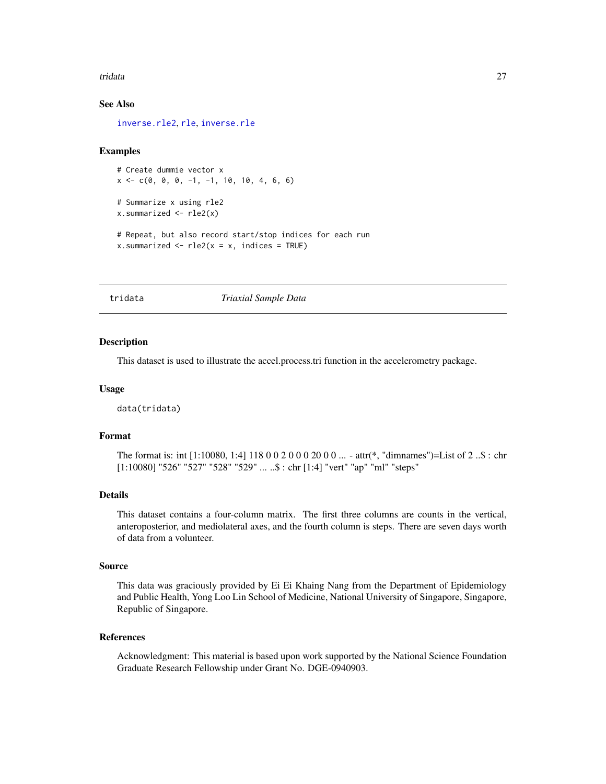#### <span id="page-26-0"></span>tridata 27

# See Also

[inverse.rle2](#page-21-1), [rle](#page-0-0), [inverse.rle](#page-0-0)

#### Examples

```
# Create dummie vector x
x \leq -c(0, 0, 0, -1, -1, 10, 10, 4, 6, 6)# Summarize x using rle2
x.summarized <- rle2(x)
# Repeat, but also record start/stop indices for each run
x.summarized <- rle2(x = x, \text{ indices} = TRUE)
```
tridata *Triaxial Sample Data*

# Description

This dataset is used to illustrate the accel.process.tri function in the accelerometry package.

#### Usage

data(tridata)

#### Format

The format is: int [1:10080, 1:4] 118 0 0 2 0 0 0 20 0 0 ... - attr(\*, "dimnames")=List of 2 ..\$ : chr [1:10080] "526" "527" "528" "529" ... ..\$ : chr [1:4] "vert" "ap" "ml" "steps"

# Details

This dataset contains a four-column matrix. The first three columns are counts in the vertical, anteroposterior, and mediolateral axes, and the fourth column is steps. There are seven days worth of data from a volunteer.

#### Source

This data was graciously provided by Ei Ei Khaing Nang from the Department of Epidemiology and Public Health, Yong Loo Lin School of Medicine, National University of Singapore, Singapore, Republic of Singapore.

#### References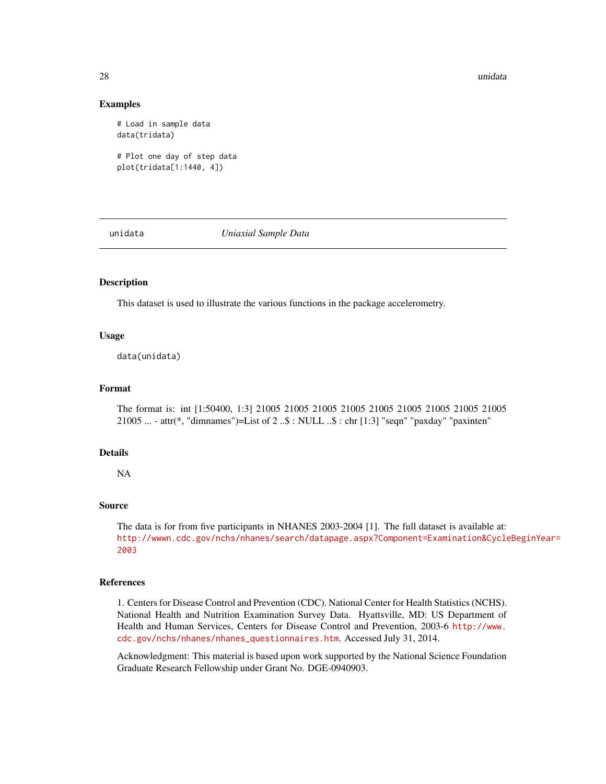#### 28 unidata est est est elementaria est el est el est el est el est el est el est el est el est el est el est e

#### Examples

```
# Load in sample data
data(tridata)
```

```
# Plot one day of step data
plot(tridata[1:1440, 4])
```
unidata *Uniaxial Sample Data*

# Description

This dataset is used to illustrate the various functions in the package accelerometry.

# Usage

data(unidata)

# Format

The format is: int [1:50400, 1:3] 21005 21005 21005 21005 21005 21005 21005 21005 21005 21005 ... - attr(\*, "dimnames")=List of 2 ..\$ : NULL ..\$ : chr [1:3] "seqn" "paxday" "paxinten"

# Details

NA

# Source

The data is for from five participants in NHANES 2003-2004 [1]. The full dataset is available at: [http://wwwn.cdc.gov/nchs/nhanes/search/datapage.aspx?Component=Examination&Cycle](http://wwwn.cdc.gov/nchs/nhanes/search/datapage.aspx?Component=Examination&CycleBeginYear=2003)BeginYear= [2003](http://wwwn.cdc.gov/nchs/nhanes/search/datapage.aspx?Component=Examination&CycleBeginYear=2003)

#### References

1. Centers for Disease Control and Prevention (CDC). National Center for Health Statistics (NCHS). National Health and Nutrition Examination Survey Data. Hyattsville, MD: US Department of Health and Human Services, Centers for Disease Control and Prevention, 2003-6 [http://www.](http://www.cdc.gov/nchs/nhanes/nhanes_questionnaires.htm) [cdc.gov/nchs/nhanes/nhanes\\_questionnaires.htm](http://www.cdc.gov/nchs/nhanes/nhanes_questionnaires.htm). Accessed July 31, 2014.

<span id="page-27-0"></span>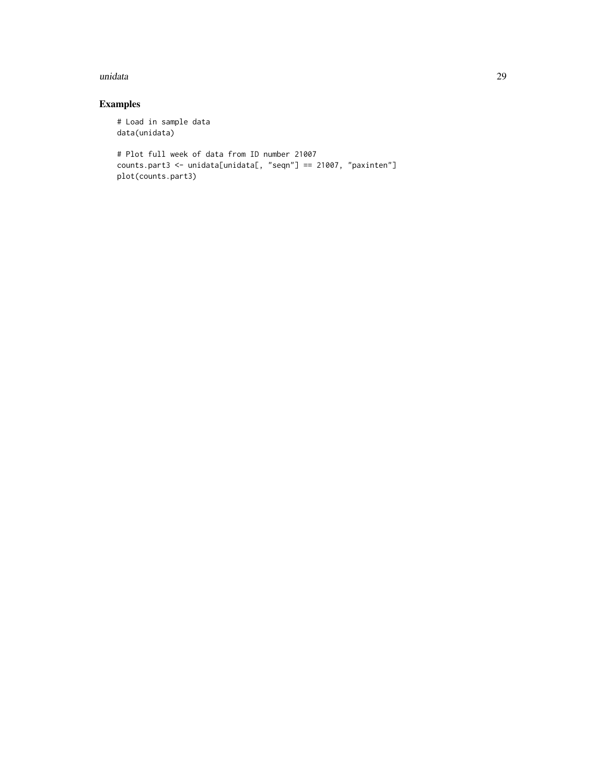#### unidata 29

# Examples

```
# Load in sample data
data(unidata)
# Plot full week of data from ID number 21007
counts.part3 <- unidata[unidata[, "seqn"] == 21007, "paxinten"]
plot(counts.part3)
```